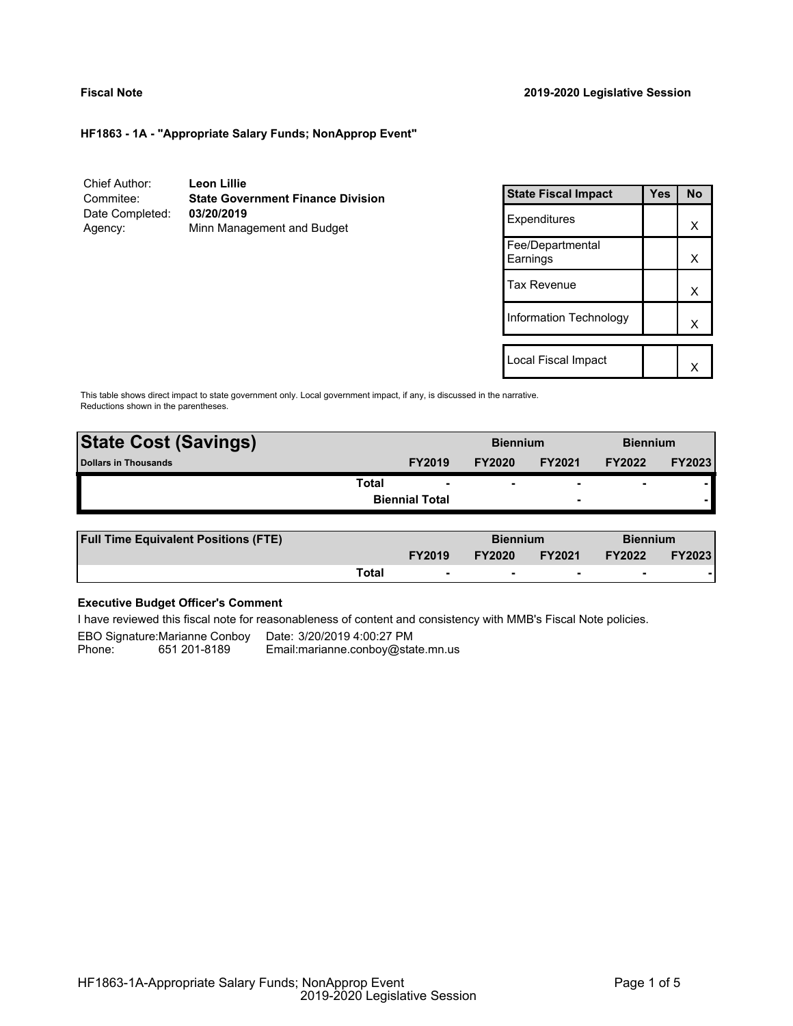# **HF1863 - 1A - "Appropriate Salary Funds; NonApprop Event"**

Chief Author: **Leon Lillie** Commitee: **State Government Finance Division** Date Completed: Agency: Minn Management and Budget

| <b>State Fiscal Impact</b>   | Yes | Nο |
|------------------------------|-----|----|
| Expenditures                 |     | х  |
| Fee/Departmental<br>Earnings |     | x  |
| <b>Tax Revenue</b>           |     | x  |
| Information Technology       |     | x  |
|                              |     |    |
| Local Fiscal Impact          |     |    |

This table shows direct impact to state government only. Local government impact, if any, is discussed in the narrative. Reductions shown in the parentheses.

| <b>State Cost (Savings)</b> |                       | <b>Biennium</b> |                          | <b>Biennium</b>          |               |
|-----------------------------|-----------------------|-----------------|--------------------------|--------------------------|---------------|
| <b>Dollars in Thousands</b> | <b>FY2019</b>         | <b>FY2020</b>   | <b>FY2021</b>            | <b>FY2022</b>            | <b>FY2023</b> |
| <b>Total</b>                | ۰                     | ۰               | $\overline{\phantom{0}}$ | $\overline{\phantom{0}}$ |               |
|                             | <b>Biennial Total</b> |                 | $\overline{\phantom{a}}$ |                          |               |
|                             |                       |                 |                          |                          |               |

| <b>Full Time Equivalent Positions (FTE)</b> |       | <b>Biennium</b>          |               | <b>Biennium</b> |               |               |
|---------------------------------------------|-------|--------------------------|---------------|-----------------|---------------|---------------|
|                                             |       | <b>FY2019</b>            | <b>FY2020</b> | <b>FY2021</b>   | <b>FY2022</b> | <b>FY2023</b> |
|                                             | Total | $\overline{\phantom{0}}$ |               |                 |               |               |

# **Executive Budget Officer's Comment**

I have reviewed this fiscal note for reasonableness of content and consistency with MMB's Fiscal Note policies.

EBO Signature:Marianne Conboy Date: 3/20/2019 4:00:27 PM<br>Phone: 651 201-8189 Email:marianne.conboy@sta Email: marianne.conboy@state.mn.us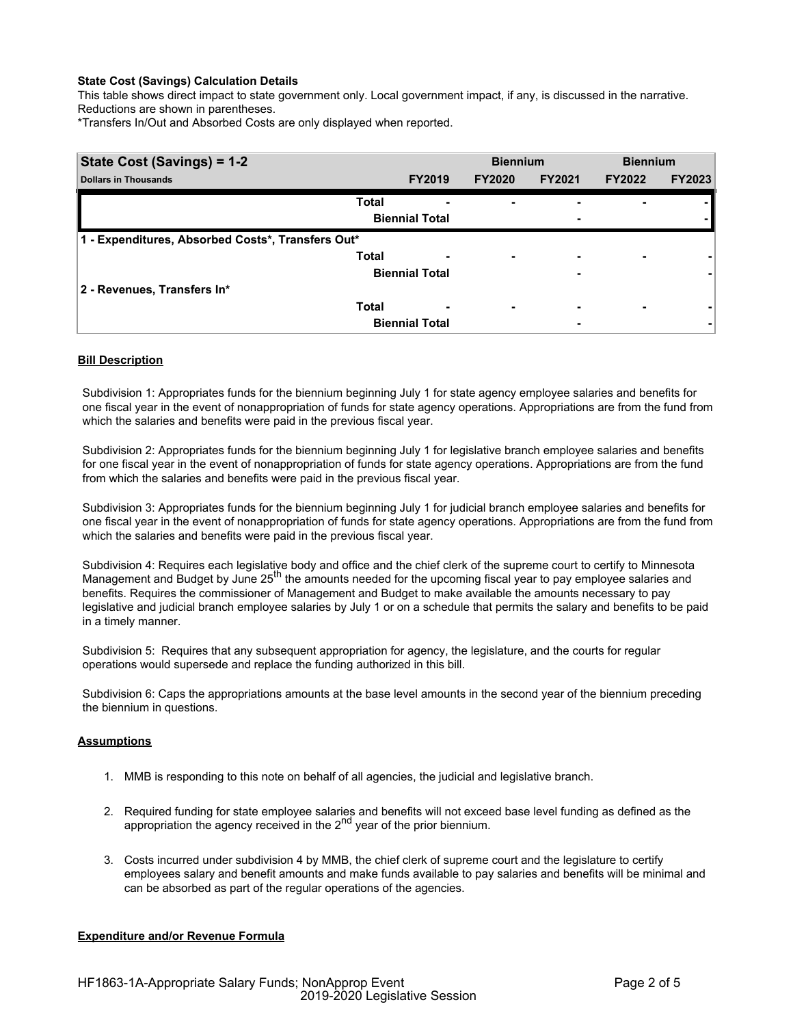## **State Cost (Savings) Calculation Details**

This table shows direct impact to state government only. Local government impact, if any, is discussed in the narrative. Reductions are shown in parentheses.

\*Transfers In/Out and Absorbed Costs are only displayed when reported.

| <b>State Cost (Savings) = 1-2</b>                 |              |                       | <b>Biennium</b>          |               | <b>Biennium</b>          |               |
|---------------------------------------------------|--------------|-----------------------|--------------------------|---------------|--------------------------|---------------|
| <b>Dollars in Thousands</b>                       |              | <b>FY2019</b>         | <b>FY2020</b>            | <b>FY2021</b> | <b>FY2022</b>            | <b>FY2023</b> |
|                                                   | <b>Total</b> |                       |                          | -             |                          |               |
|                                                   |              | <b>Biennial Total</b> |                          | -             |                          |               |
| 1 - Expenditures, Absorbed Costs*, Transfers Out* |              |                       |                          |               |                          |               |
|                                                   | <b>Total</b> | -                     | ٠                        | ۰             | $\overline{\phantom{0}}$ |               |
|                                                   |              | <b>Biennial Total</b> |                          | -             |                          |               |
| 2 - Revenues, Transfers In*                       |              |                       |                          |               |                          |               |
|                                                   | <b>Total</b> | -                     | $\overline{\phantom{0}}$ | -             | $\overline{\phantom{0}}$ |               |
|                                                   |              | <b>Biennial Total</b> |                          | -             |                          |               |

## **Bill Description**

Subdivision 1: Appropriates funds for the biennium beginning July 1 for state agency employee salaries and benefits for one fiscal year in the event of nonappropriation of funds for state agency operations. Appropriations are from the fund from which the salaries and benefits were paid in the previous fiscal year.

Subdivision 2: Appropriates funds for the biennium beginning July 1 for legislative branch employee salaries and benefits for one fiscal year in the event of nonappropriation of funds for state agency operations. Appropriations are from the fund from which the salaries and benefits were paid in the previous fiscal year.

Subdivision 3: Appropriates funds for the biennium beginning July 1 for judicial branch employee salaries and benefits for one fiscal year in the event of nonappropriation of funds for state agency operations. Appropriations are from the fund from which the salaries and benefits were paid in the previous fiscal year.

Subdivision 4: Requires each legislative body and office and the chief clerk of the supreme court to certify to Minnesota Management and Budget by June 25<sup>th</sup> the amounts needed for the upcoming fiscal year to pay employee salaries and benefits. Requires the commissioner of Management and Budget to make available the amounts necessary to pay legislative and judicial branch employee salaries by July 1 or on a schedule that permits the salary and benefits to be paid in a timely manner.

Subdivision 5: Requires that any subsequent appropriation for agency, the legislature, and the courts for regular operations would supersede and replace the funding authorized in this bill.

Subdivision 6: Caps the appropriations amounts at the base level amounts in the second year of the biennium preceding the biennium in questions.

#### **Assumptions**

- 1. MMB is responding to this note on behalf of all agencies, the judicial and legislative branch.
- 2. Required funding for state employee salaries and benefits will not exceed base level funding as defined as the appropriation the agency received in the 2<sup>nd</sup> year of the prior biennium.
- 3. Costs incurred under subdivision 4 by MMB, the chief clerk of supreme court and the legislature to certify employees salary and benefit amounts and make funds available to pay salaries and benefits will be minimal and can be absorbed as part of the regular operations of the agencies.

#### **Expenditure and/or Revenue Formula**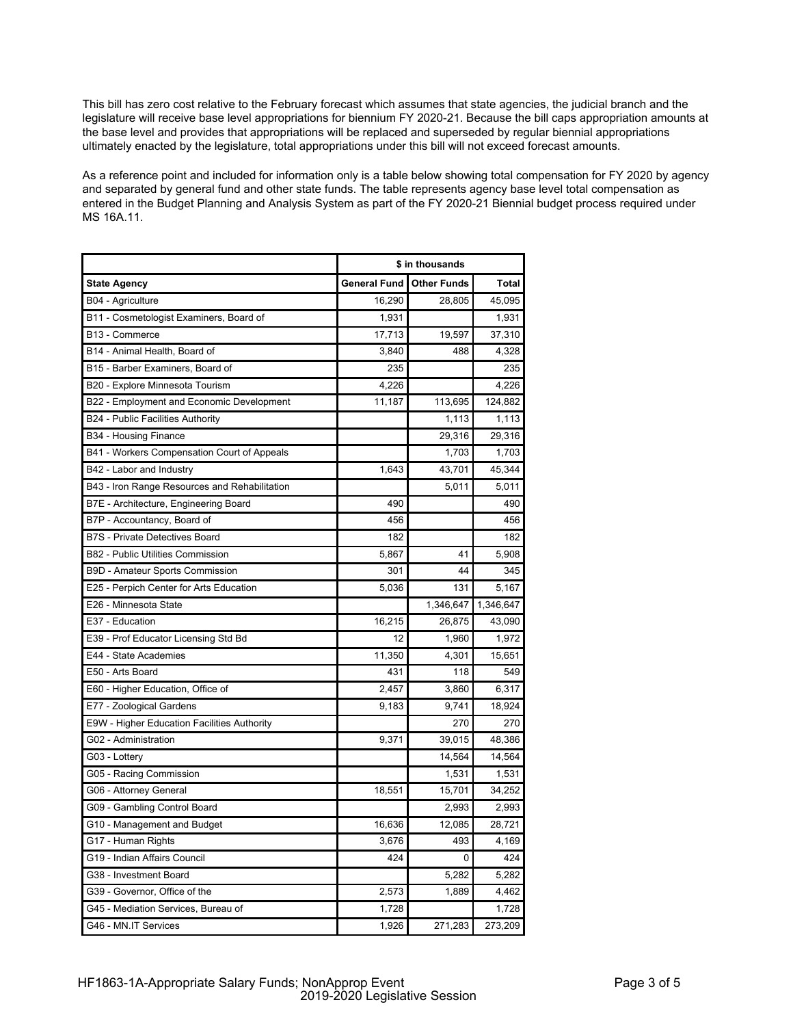This bill has zero cost relative to the February forecast which assumes that state agencies, the judicial branch and the legislature will receive base level appropriations for biennium FY 2020-21. Because the bill caps appropriation amounts at the base level and provides that appropriations will be replaced and superseded by regular biennial appropriations ultimately enacted by the legislature, total appropriations under this bill will not exceed forecast amounts.

As a reference point and included for information only is a table below showing total compensation for FY 2020 by agency and separated by general fund and other state funds. The table represents agency base level total compensation as entered in the Budget Planning and Analysis System as part of the FY 2020-21 Biennial budget process required under MS 16A.11.

|                                               | \$ in thousands |                    |           |  |
|-----------------------------------------------|-----------------|--------------------|-----------|--|
| <b>State Agency</b>                           | General Fund    | <b>Other Funds</b> | Total     |  |
| B04 - Agriculture                             | 16,290          | 28,805             | 45,095    |  |
| B11 - Cosmetologist Examiners, Board of       | 1,931           |                    | 1,931     |  |
| B13 - Commerce                                | 17,713          | 19,597             | 37,310    |  |
| B14 - Animal Health, Board of                 | 3,840           | 488                | 4,328     |  |
| B15 - Barber Examiners, Board of              | 235             |                    | 235       |  |
| B20 - Explore Minnesota Tourism               | 4,226           |                    | 4,226     |  |
| B22 - Employment and Economic Development     | 11,187          | 113,695            | 124,882   |  |
| B24 - Public Facilities Authority             |                 | 1,113              | 1,113     |  |
| B34 - Housing Finance                         |                 | 29,316             | 29,316    |  |
| B41 - Workers Compensation Court of Appeals   |                 | 1,703              | 1,703     |  |
| B42 - Labor and Industry                      | 1,643           | 43,701             | 45,344    |  |
| B43 - Iron Range Resources and Rehabilitation |                 | 5,011              | 5,011     |  |
| B7E - Architecture, Engineering Board         | 490             |                    | 490       |  |
| B7P - Accountancy, Board of                   | 456             |                    | 456       |  |
| <b>B7S</b> - Private Detectives Board         | 182             |                    | 182       |  |
| B82 - Public Utilities Commission             | 5,867           | 41                 | 5,908     |  |
| B9D - Amateur Sports Commission               | 301             | 44                 | 345       |  |
| E25 - Perpich Center for Arts Education       | 5,036           | 131                | 5,167     |  |
| E26 - Minnesota State                         |                 | 1,346,647          | 1,346,647 |  |
| E37 - Education                               | 16,215          | 26,875             | 43,090    |  |
| E39 - Prof Educator Licensing Std Bd          | 12              | 1,960              | 1,972     |  |
| E44 - State Academies                         | 11,350          | 4,301              | 15,651    |  |
| E50 - Arts Board                              | 431             | 118                | 549       |  |
| E60 - Higher Education, Office of             | 2,457           | 3,860              | 6,317     |  |
| E77 - Zoological Gardens                      | 9,183           | 9,741              | 18,924    |  |
| E9W - Higher Education Facilities Authority   |                 | 270                | 270       |  |
| G02 - Administration                          | 9,371           | 39,015             | 48,386    |  |
| G03 - Lottery                                 |                 | 14,564             | 14,564    |  |
| G05 - Racing Commission                       |                 | 1,531              | 1,531     |  |
| G06 - Attorney General                        | 18,551          | 15,701             | 34,252    |  |
| G09 - Gambling Control Board                  |                 | 2,993              | 2,993     |  |
| G10 - Management and Budget                   | 16,636          | 12,085             | 28,721    |  |
| G17 - Human Rights                            | 3,676           | 493                | 4,169     |  |
| G19 - Indian Affairs Council                  | 424             | 0                  | 424       |  |
| G38 - Investment Board                        |                 | 5,282              | 5,282     |  |
| G39 - Governor, Office of the                 | 2,573           | 1,889              | 4,462     |  |
| G45 - Mediation Services, Bureau of           | 1,728           |                    | 1,728     |  |
| G46 - MN.IT Services                          | 1,926           | 271,283            | 273,209   |  |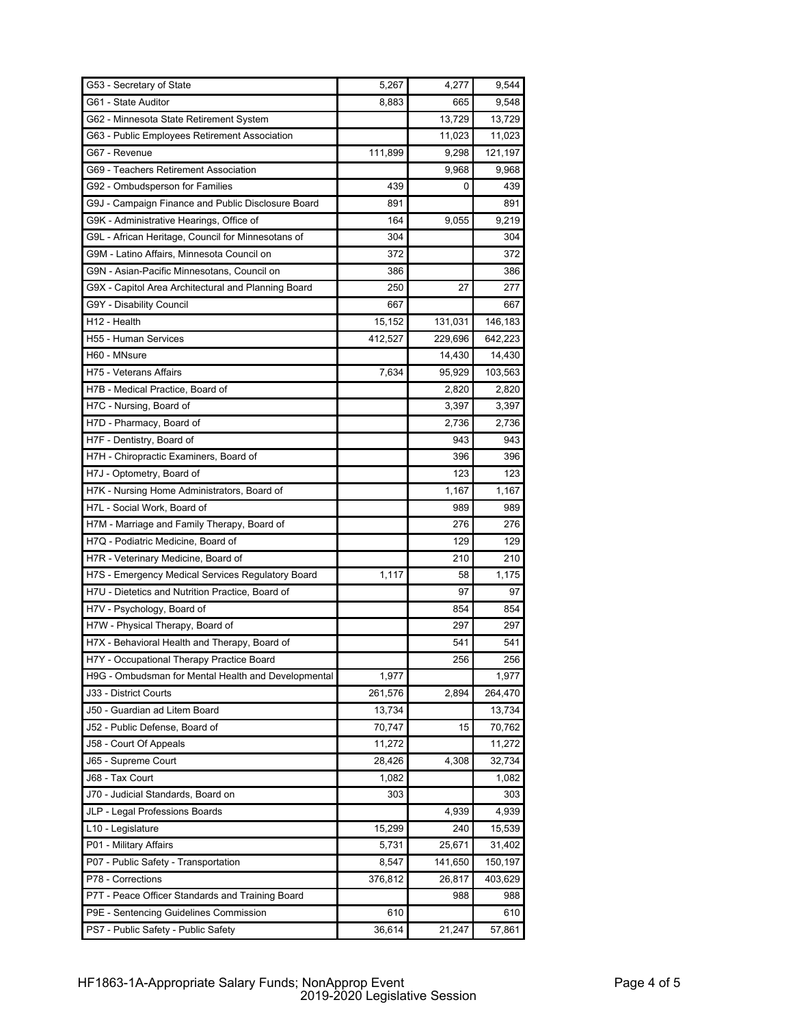| G53 - Secretary of State                            | 5,267   | 4,277   | 9,544   |
|-----------------------------------------------------|---------|---------|---------|
| G61 - State Auditor                                 | 8,883   | 665     | 9,548   |
| G62 - Minnesota State Retirement System             |         | 13.729  | 13,729  |
| G63 - Public Employees Retirement Association       |         | 11,023  | 11,023  |
| G67 - Revenue                                       | 111,899 | 9,298   | 121,197 |
| G69 - Teachers Retirement Association               |         | 9,968   | 9,968   |
| G92 - Ombudsperson for Families                     | 439     | 0       | 439     |
| G9J - Campaign Finance and Public Disclosure Board  | 891     |         | 891     |
| G9K - Administrative Hearings, Office of            | 164     | 9,055   | 9,219   |
| G9L - African Heritage, Council for Minnesotans of  | 304     |         | 304     |
| G9M - Latino Affairs, Minnesota Council on          | 372     |         | 372     |
| G9N - Asian-Pacific Minnesotans, Council on         | 386     |         | 386     |
| G9X - Capitol Area Architectural and Planning Board | 250     | 27      | 277     |
| G9Y - Disability Council                            | 667     |         | 667     |
| H12 - Health                                        | 15,152  | 131,031 | 146,183 |
| H55 - Human Services                                | 412,527 | 229,696 | 642,223 |
| H60 - MNsure                                        |         | 14,430  | 14,430  |
| H75 - Veterans Affairs                              | 7,634   | 95,929  | 103,563 |
| H7B - Medical Practice, Board of                    |         | 2,820   | 2,820   |
| H7C - Nursing, Board of                             |         | 3,397   | 3,397   |
| H7D - Pharmacy, Board of                            |         | 2,736   | 2.736   |
| H7F - Dentistry, Board of                           |         | 943     | 943     |
| H7H - Chiropractic Examiners, Board of              |         | 396     | 396     |
| H7J - Optometry, Board of                           |         | 123     | 123     |
| H7K - Nursing Home Administrators, Board of         |         | 1,167   | 1,167   |
| H7L - Social Work, Board of                         |         | 989     | 989     |
| H7M - Marriage and Family Therapy, Board of         |         | 276     | 276     |
| H7Q - Podiatric Medicine, Board of                  |         | 129     | 129     |
| H7R - Veterinary Medicine, Board of                 |         | 210     | 210     |
| H7S - Emergency Medical Services Regulatory Board   | 1,117   | 58      | 1,175   |
| H7U - Dietetics and Nutrition Practice, Board of    |         | 97      | 97      |
| H7V - Psychology, Board of                          |         | 854     | 854     |
| H7W - Physical Therapy, Board of                    |         | 297     | 297     |
| H7X - Behavioral Health and Therapy, Board of       |         | 541     | 541     |
| H7Y - Occupational Therapy Practice Board           |         | 256     | 256     |
| H9G - Ombudsman for Mental Health and Developmental | 1,977   |         | 1,977   |
| J33 - District Courts                               | 261,576 | 2,894   | 264,470 |
| J50 - Guardian ad Litem Board                       | 13,734  |         | 13,734  |
| J52 - Public Defense, Board of                      | 70,747  | 15      | 70,762  |
| J58 - Court Of Appeals                              | 11,272  |         | 11,272  |
| J65 - Supreme Court                                 | 28,426  | 4,308   | 32,734  |
| J68 - Tax Court                                     | 1,082   |         | 1,082   |
| J70 - Judicial Standards, Board on                  | 303     |         | 303     |
| JLP - Legal Professions Boards                      |         | 4,939   | 4,939   |
| L10 - Legislature                                   | 15,299  | 240     | 15,539  |
| P01 - Military Affairs                              | 5,731   | 25,671  | 31,402  |
| P07 - Public Safety - Transportation                | 8,547   | 141,650 | 150,197 |
| P78 - Corrections                                   | 376,812 | 26,817  | 403,629 |
| P7T - Peace Officer Standards and Training Board    |         | 988     | 988     |
| P9E - Sentencing Guidelines Commission              | 610     |         | 610     |
| PS7 - Public Safety - Public Safety                 | 36,614  | 21,247  | 57,861  |